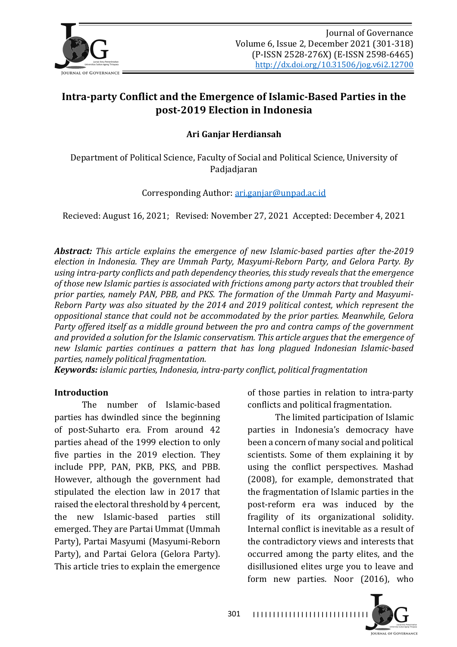

# Intra-party Conflict and the Emergence of Islamic-Based Parties in the **post-2019 Election in Indonesia**

**Ari Ganjar Herdiansah**

Department of Political Science, Faculty of Social and Political Science, University of Padjadjaran

Corresponding Author: ari.ganjar@unpad.ac.id

Recieved: August 16, 2021; Revised: November 27, 2021 Accepted: December 4, 2021

**Abstract:** This article explains the emergence of new Islamic-based parties after the-2019 *election in Indonesia. They are Ummah Party, Masyumi-Reborn Party, and Gelora Party. By* using intra-party conflicts and path dependency theories, this study reveals that the emergence of those new Islamic parties is associated with frictions among party actors that troubled their prior parties, namely PAN, PBB, and PKS. The formation of the Ummah Party and Masyumi-*Reborn Party was also situated by the 2014 and 2019 political contest, which represent the oppositional stance that could not be accommodated by the prior parties. Meanwhile, Gelora* Party offered itself as a middle ground between the pro and contra camps of the government and provided a solution for the Islamic conservatism. This article argues that the emergence of new Islamic parties continues a pattern that has long plagued Indonesian Islamic-based *parties, namely political fragmentation.* 

301

*Keywords: islamic parties, Indonesia, intra-party conflict, political fragmentation* 

#### **Introduction**

The number of Islamic-based parties has dwindled since the beginning of post-Suharto era. From around 42 parties ahead of the 1999 election to only five parties in the 2019 election. They include PPP, PAN, PKB, PKS, and PBB. However, although the government had stipulated the election law in 2017 that raised the electoral threshold by 4 percent, the new Islamic-based parties still emerged. They are Partai Ummat (Ummah Party), Partai Masyumi (Masyumi-Reborn Party), and Partai Gelora (Gelora Party). This article tries to explain the emergence

of those parties in relation to intra-party conflicts and political fragmentation.

The limited participation of Islamic parties in Indonesia's democracy have been a concern of many social and political scientists. Some of them explaining it by using the conflict perspectives. Mashad (2008), for example, demonstrated that the fragmentation of Islamic parties in the post-reform era was induced by the fragility of its organizational solidity. Internal conflict is inevitable as a result of the contradictory views and interests that occurred among the party elites, and the disillusioned elites urge you to leave and form new parties. Noor (2016), who

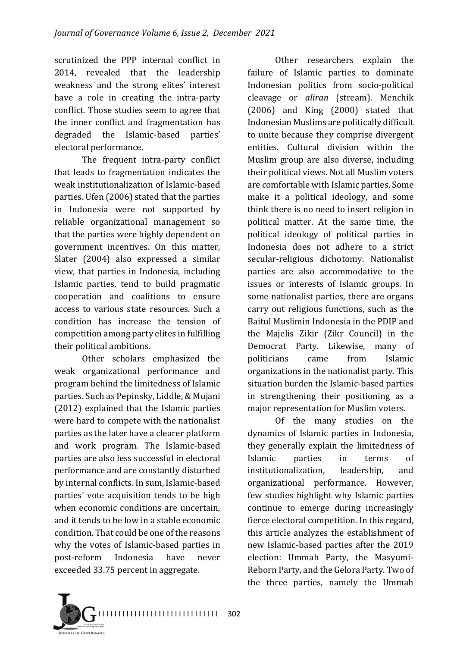scrutinized the PPP internal conflict in 2014, revealed that the leadership weakness and the strong elites' interest have a role in creating the intra-party conflict. Those studies seem to agree that the inner conflict and fragmentation has degraded the Islamic-based parties' electoral performance.

The frequent intra-party conflict that leads to fragmentation indicates the weak institutionalization of Islamic-based parties. Ufen (2006) stated that the parties in Indonesia were not supported by reliable organizational management so that the parties were highly dependent on government incentives. On this matter, Slater (2004) also expressed a similar view, that parties in Indonesia, including Islamic parties, tend to build pragmatic cooperation and coalitions to ensure access to various state resources. Such a condition has increase the tension of competition among party elites in fulfilling their political ambitions.

Other scholars emphasized the weak organizational performance and program behind the limitedness of Islamic parties. Such as Pepinsky, Liddle, & Mujani (2012) explained that the Islamic parties were hard to compete with the nationalist parties as the later have a clearer platform and work program. The Islamic-based parties are also less successful in electoral performance and are constantly disturbed by internal conflicts. In sum, Islamic-based parties' vote acquisition tends to be high when economic conditions are uncertain, and it tends to be low in a stable economic condition. That could be one of the reasons why the votes of Islamic-based parties in post-reform Indonesia have never exceeded 33.75 percent in aggregate.

Other researchers explain the failure of Islamic parties to dominate Indonesian politics from socio-political cleavage or *aliran* (stream). Menchik  $(2006)$  and King  $(2000)$  stated that Indonesian Muslims are politically difficult to unite because they comprise divergent entities. Cultural division within the Muslim group are also diverse, including their political views. Not all Muslim voters are comfortable with Islamic parties. Some make it a political ideology, and some think there is no need to insert religion in political matter. At the same time, the political ideology of political parties in Indonesia does not adhere to a strict secular-religious dichotomy. Nationalist parties are also accommodative to the issues or interests of Islamic groups. In some nationalist parties, there are organs carry out religious functions, such as the Baitul Muslimin Indonesia in the PDIP and the Majelis Zikir (Zikr Council) in the Democrat Party, Likewise, many of politicians came from Islamic organizations in the nationalist party. This situation burden the Islamic-based parties in strengthening their positioning as a major representation for Muslim voters.

Of the many studies on the dynamics of Islamic parties in Indonesia. they generally explain the limitedness of Islamic parties in terms of institutionalization, leadership, and organizational performance. However, few studies highlight why Islamic parties continue to emerge during increasingly fierce electoral competition. In this regard, this article analyzes the establishment of new Islamic-based parties after the 2019 election: Ummah Party, the Masyumi-Reborn Party, and the Gelora Party. Two of the three parties, namely the Ummah

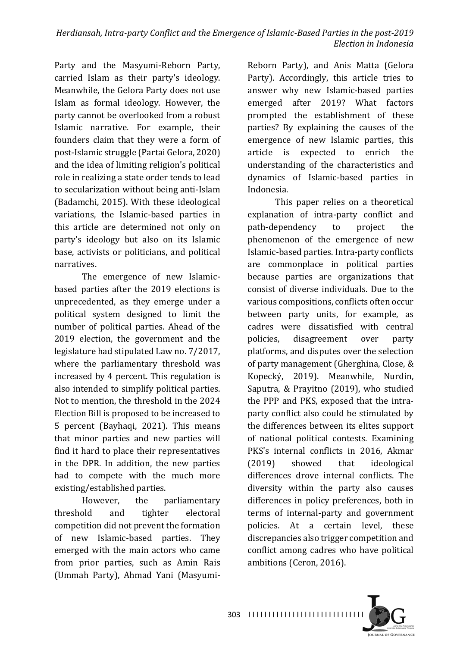Party and the Masyumi-Reborn Party, carried Islam as their party's ideology. Meanwhile, the Gelora Party does not use Islam as formal ideology. However, the party cannot be overlooked from a robust Islamic narrative. For example, their founders claim that they were a form of post-Islamic struggle (Partai Gelora, 2020) and the idea of limiting religion's political role in realizing a state order tends to lead to secularization without being anti-Islam (Badamchi, 2015). With these ideological variations, the Islamic-based parties in this article are determined not only on party's ideology but also on its Islamic base, activists or politicians, and political narratives.

The emergence of new Islamicbased parties after the 2019 elections is unprecedented, as they emerge under a political system designed to limit the number of political parties. Ahead of the 2019 election, the government and the legislature had stipulated Law no. 7/2017, where the parliamentary threshold was increased by 4 percent. This regulation is also intended to simplify political parties. Not to mention, the threshold in the 2024 Election Bill is proposed to be increased to 5 percent (Bayhaqi, 2021). This means that minor parties and new parties will find it hard to place their representatives in the DPR. In addition, the new parties had to compete with the much more existing/established parties.

However, the parliamentary threshold and tighter electoral competition did not prevent the formation of new Islamic-based parties. They emerged with the main actors who came from prior parties, such as Amin Rais (Ummah Party), Ahmad Yani (Masyumi-

Reborn Party), and Anis Matta (Gelora Party). Accordingly, this article tries to answer why new Islamic-based parties emerged after 2019? What factors prompted the establishment of these parties? By explaining the causes of the emergence of new Islamic parties, this article is expected to enrich the understanding of the characteristics and dynamics of Islamic-based parties in Indonesia.

This paper relies on a theoretical explanation of intra-party conflict and path-dependency to project the phenomenon of the emergence of new Islamic-based parties. Intra-party conflicts are commonplace in political parties because parties are organizations that consist of diverse individuals. Due to the various compositions, conflicts often occur between party units, for example, as cadres were dissatisfied with central policies, disagreement over party platforms, and disputes over the selection of party management (Gherghina, Close, & Kopecký, 2019). Meanwhile, Nurdin, Saputra, & Prayitno (2019), who studied the PPP and PKS, exposed that the intraparty conflict also could be stimulated by the differences between its elites support of national political contests. Examining PKS's internal conflicts in 2016, Akmar (2019) showed that ideological differences drove internal conflicts. The diversity within the party also causes differences in policy preferences, both in terms of internal-party and government policies. At a certain level, these discrepancies also trigger competition and conflict among cadres who have political ambitions (Ceron, 2016).

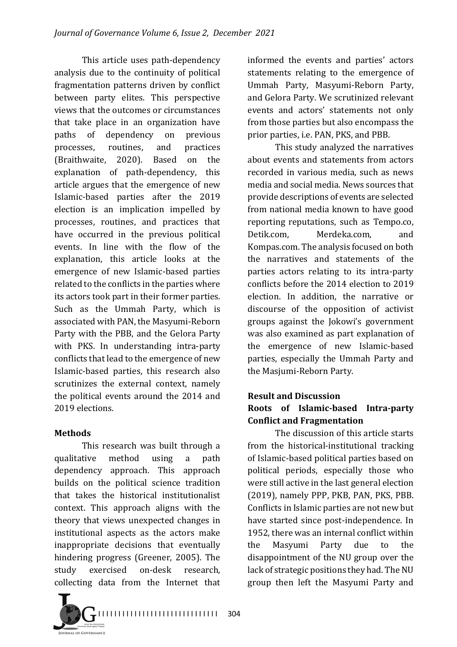This article uses path-dependency analysis due to the continuity of political fragmentation patterns driven by conflict between party elites. This perspective views that the outcomes or circumstances that take place in an organization have paths of dependency on previous processes, routines, and practices (Braithwaite, 2020). Based on the explanation of path-dependency, this article argues that the emergence of new Islamic-based parties after the 2019 election is an implication impelled by processes, routines, and practices that have occurred in the previous political events. In line with the flow of the explanation, this article looks at the emergence of new Islamic-based parties related to the conflicts in the parties where its actors took part in their former parties. Such as the Ummah Party, which is associated with PAN, the Masyumi-Reborn Party with the PBB, and the Gelora Party with PKS. In understanding intra-party conflicts that lead to the emergence of new Islamic-based parties, this research also scrutinizes the external context, namely the political events around the 2014 and 2019 elections.

## **Methods**

This research was built through a qualitative method using a path dependency approach. This approach builds on the political science tradition that takes the historical institutionalist context. This approach aligns with the theory that views unexpected changes in institutional aspects as the actors make inappropriate decisions that eventually hindering progress (Greener, 2005). The study exercised on-desk research, collecting data from the Internet that

informed the events and parties' actors statements relating to the emergence of Ummah Party, Masyumi-Reborn Party, and Gelora Party. We scrutinized relevant events and actors' statements not only from those parties but also encompass the prior parties, i.e. PAN, PKS, and PBB.

This study analyzed the narratives about events and statements from actors recorded in various media, such as news media and social media. News sources that provide descriptions of events are selected from national media known to have good reporting reputations, such as Tempo.co, Detik.com, Merdeka.com, and Kompas.com. The analysis focused on both the narratives and statements of the parties actors relating to its intra-party conflicts before the 2014 election to 2019 election. In addition, the narrative or discourse of the opposition of activist groups against the Jokowi's government was also examined as part explanation of the emergence of new Islamic-based parties, especially the Ummah Party and the Masjumi-Reborn Party.

#### **Result and Discussion Roots of Islamic-based Intra-party Conflict and Fragmentation**

The discussion of this article starts from the historical-institutional tracking of Islamic-based political parties based on political periods, especially those who were still active in the last general election (2019), namely PPP, PKB, PAN, PKS, PBB. Conflicts in Islamic parties are not new but have started since post-independence. In 1952, there was an internal conflict within the Masyumi Party due to the disappointment of the NU group over the lack of strategic positions they had. The NU group then left the Masyumi Party and

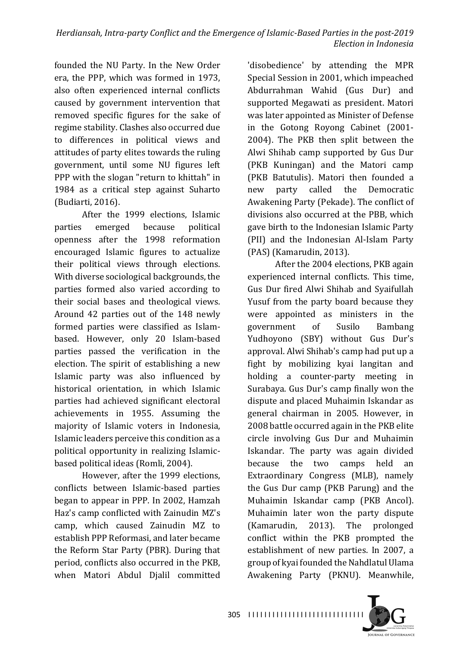founded the NU Party. In the New Order era, the PPP, which was formed in 1973, also often experienced internal conflicts caused by government intervention that removed specific figures for the sake of regime stability. Clashes also occurred due to differences in political views and attitudes of party elites towards the ruling government, until some NU figures left PPP with the slogan "return to khittah" in 1984 as a critical step against Suharto (Budiarti, 2016).

After the 1999 elections, Islamic parties emerged because political openness after the 1998 reformation encouraged Islamic figures to actualize their political views through elections. With diverse sociological backgrounds, the parties formed also varied according to their social bases and theological views. Around 42 parties out of the 148 newly formed parties were classified as Islambased. However, only 20 Islam-based parties passed the verification in the election. The spirit of establishing a new Islamic party was also influenced by historical orientation, in which Islamic parties had achieved significant electoral achievements in 1955. Assuming the majority of Islamic voters in Indonesia, Islamic leaders perceive this condition as a political opportunity in realizing Islamicbased political ideas (Romli, 2004).

However, after the 1999 elections, conflicts between Islamic-based parties began to appear in PPP. In 2002, Hamzah Haz's camp conflicted with Zainudin MZ's camp, which caused Zainudin MZ to establish PPP Reformasi, and later became the Reform Star Party (PBR). During that period, conflicts also occurred in the PKB. when Matori Abdul Djalil committed

'disobedience' by attending the MPR Special Session in 2001, which impeached Abdurrahman Wahid (Gus Dur) and supported Megawati as president. Matori was later appointed as Minister of Defense in the Gotong Royong Cabinet (2001-2004). The PKB then split between the Alwi Shihab camp supported by Gus Dur (PKB Kuningan) and the Matori camp (PKB Batutulis). Matori then founded a new party called the Democratic Awakening Party (Pekade). The conflict of divisions also occurred at the PBB, which gave birth to the Indonesian Islamic Party (PII) and the Indonesian Al-Islam Party (PAS) (Kamarudin, 2013).

After the 2004 elections, PKB again experienced internal conflicts. This time, Gus Dur fired Alwi Shihab and Syaifullah Yusuf from the party board because they were appointed as ministers in the government of Susilo Bambang Yudhoyono (SBY) without Gus Dur's approval. Alwi Shihab's camp had put up a fight by mobilizing kyai langitan and holding a counter-party meeting in Surabaya. Gus Dur's camp finally won the dispute and placed Muhaimin Iskandar as general chairman in 2005. However, in 2008 battle occurred again in the PKB elite circle involving Gus Dur and Muhaimin Iskandar. The party was again divided because the two camps held an Extraordinary Congress (MLB), namely the Gus Dur camp (PKB Parung) and the Muhaimin Iskandar camp (PKB Ancol). Muhaimin later won the party dispute (Kamarudin, 2013). The prolonged conflict within the PKB prompted the establishment of new parties. In 2007, a group of kyai founded the Nahdlatul Ulama Awakening Party (PKNU). Meanwhile,

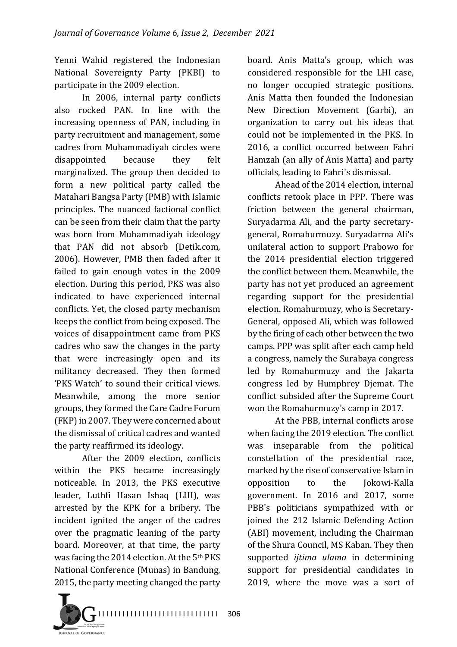Yenni Wahid registered the Indonesian National Sovereignty Party (PKBI) to participate in the 2009 election.

In 2006, internal party conflicts also rocked PAN. In line with the increasing openness of PAN, including in party recruitment and management, some cadres from Muhammadiyah circles were disappointed because they felt marginalized. The group then decided to form a new political party called the Matahari Bangsa Party (PMB) with Islamic principles. The nuanced factional conflict can be seen from their claim that the party was born from Muhammadiyah ideology that PAN did not absorb (Detik.com, 2006). However, PMB then faded after it failed to gain enough votes in the 2009 election. During this period. PKS was also indicated to have experienced internal conflicts. Yet, the closed party mechanism keeps the conflict from being exposed. The voices of disappointment came from PKS cadres who saw the changes in the party that were increasingly open and its militancy decreased. They then formed 'PKS Watch' to sound their critical views. Meanwhile, among the more senior groups, they formed the Care Cadre Forum (FKP) in 2007. They were concerned about the dismissal of critical cadres and wanted the party reaffirmed its ideology.

After the 2009 election, conflicts within the PKS became increasingly noticeable. In 2013, the PKS executive leader, Luthfi Hasan Ishaq (LHI), was arrested by the KPK for a bribery. The incident ignited the anger of the cadres over the pragmatic leaning of the party board. Moreover, at that time, the party was facing the 2014 election. At the 5<sup>th</sup> PKS National Conference (Munas) in Bandung, 2015, the party meeting changed the party

board. Anis Matta's group, which was considered responsible for the LHI case, no longer occupied strategic positions. Anis Matta then founded the Indonesian New Direction Movement (Garbi), an organization to carry out his ideas that could not be implemented in the PKS. In 2016, a conflict occurred between Fahri Hamzah (an ally of Anis Matta) and party officials, leading to Fahri's dismissal.

Ahead of the 2014 election, internal conflicts retook place in PPP. There was friction between the general chairman, Suryadarma Ali, and the party secretarygeneral, Romahurmuzy. Suryadarma Ali's unilateral action to support Prabowo for the 2014 presidential election triggered the conflict between them. Meanwhile, the party has not vet produced an agreement regarding support for the presidential election. Romahurmuzy, who is Secretary-General, opposed Ali, which was followed by the firing of each other between the two camps. PPP was split after each camp held a congress, namely the Surabaya congress led by Romahurmuzy and the Jakarta congress led by Humphrey Djemat. The conflict subsided after the Supreme Court won the Romahurmuzy's camp in 2017.

At the PBB, internal conflicts arose when facing the 2019 election. The conflict was inseparable from the political constellation of the presidential race, marked by the rise of conservative Islam in opposition to the Jokowi-Kalla government. In 2016 and 2017, some PBB's politicians sympathized with or joined the 212 Islamic Defending Action (ABI) movement, including the Chairman of the Shura Council, MS Kaban, They then supported *ijtima ulama* in determining support for presidential candidates in 2019, where the move was a sort of



306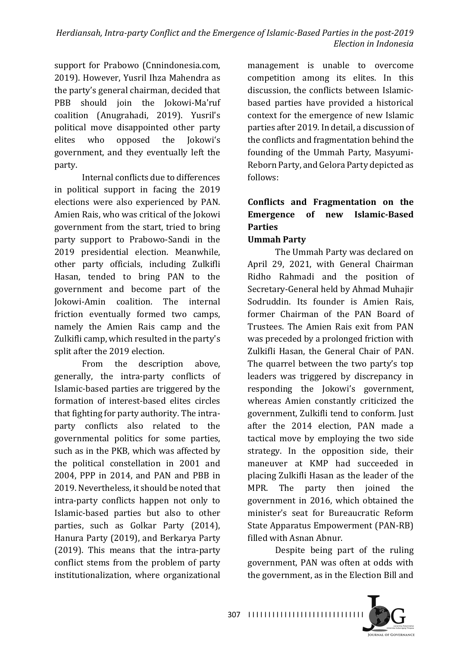support for Prabowo (Cnnindonesia.com, 2019). However, Yusril Ihza Mahendra as the party's general chairman, decided that PBB should join the Jokowi-Ma'ruf coalition (Anugrahadi, 2019). Yusril's political move disappointed other party elites who opposed the Jokowi's government, and they eventually left the party. 

Internal conflicts due to differences in political support in facing the 2019 elections were also experienced by PAN. Amien Rais, who was critical of the Jokowi government from the start, tried to bring party support to Prabowo-Sandi in the 2019 presidential election. Meanwhile, other party officials, including Zulkifli Hasan, tended to bring PAN to the government and become part of the Jokowi-Amin coalition. The internal friction eventually formed two camps, namely the Amien Rais camp and the Zulkifli camp, which resulted in the party's split after the 2019 election.

From the description above, generally, the intra-party conflicts of Islamic-based parties are triggered by the formation of interest-based elites circles that fighting for party authority. The intraparty conflicts also related to the governmental politics for some parties, such as in the PKB, which was affected by the political constellation in 2001 and  $2004$ , PPP in  $2014$ , and PAN and PBB in 2019. Nevertheless, it should be noted that intra-party conflicts happen not only to Islamic-based parties but also to other parties, such as Golkar Party (2014), Hanura Party (2019), and Berkarya Party  $(2019)$ . This means that the intra-party conflict stems from the problem of party institutionalization, where organizational

management is unable to overcome competition among its elites. In this discussion, the conflicts between Islamicbased parties have provided a historical context for the emergence of new Islamic parties after 2019. In detail, a discussion of the conflicts and fragmentation behind the founding of the Ummah Party, Masyumi-Reborn Party, and Gelora Party depicted as follows:

# Conflicts and Fragmentation on the **Emergence of new Islamic-Based Parties**

## **Ummah Party**

The Ummah Party was declared on April 29, 2021, with General Chairman Ridho Rahmadi and the position of Secretary-General held by Ahmad Muhajir Sodruddin. Its founder is Amien Rais, former Chairman of the PAN Board of Trustees. The Amien Rais exit from PAN was preceded by a prolonged friction with Zulkifli Hasan, the General Chair of PAN. The quarrel between the two party's top leaders was triggered by discrepancy in responding the Jokowi's government, whereas Amien constantly criticized the government, Zulkifli tend to conform. Just after the 2014 election, PAN made a tactical move by employing the two side strategy. In the opposition side, their maneuver at KMP had succeeded in placing Zulkifli Hasan as the leader of the MPR. The party then joined the government in 2016, which obtained the minister's seat for Bureaucratic Reform State Apparatus Empowerment (PAN-RB) filled with Asnan Abnur.

Despite being part of the ruling government, PAN was often at odds with the government, as in the Election Bill and

I I I I I I I I I I I I I I I I I I I I I I I I I I I I I 307

**JOURNAL OF GOVERNANCE**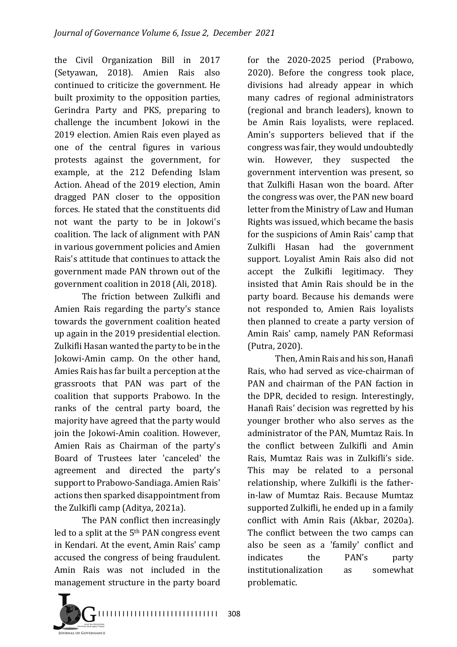the Civil Organization Bill in 2017 (Setyawan, 2018). Amien Rais also continued to criticize the government. He built proximity to the opposition parties, Gerindra Party and PKS, preparing to challenge the incumbent Jokowi in the 2019 election. Amien Rais even played as one of the central figures in various protests against the government, for example, at the 212 Defending Islam Action. Ahead of the 2019 election, Amin dragged PAN closer to the opposition forces. He stated that the constituents did not want the party to be in Jokowi's coalition. The lack of alignment with PAN in various government policies and Amien Rais's attitude that continues to attack the government made PAN thrown out of the government coalition in 2018 (Ali, 2018).

The friction between Zulkifli and Amien Rais regarding the party's stance towards the government coalition heated up again in the 2019 presidential election. Zulkifli Hasan wanted the party to be in the Jokowi-Amin camp. On the other hand, Amies Rais has far built a perception at the grassroots that PAN was part of the coalition that supports Prabowo. In the ranks of the central party board, the majority have agreed that the party would ioin the Jokowi-Amin coalition. However, Amien Rais as Chairman of the party's Board of Trustees later 'canceled' the agreement and directed the party's support to Prabowo-Sandiaga. Amien Rais' actions then sparked disappointment from the Zulkifli camp (Aditya, 2021a).

The PAN conflict then increasingly led to a split at the  $5<sup>th</sup>$  PAN congress event in Kendari. At the event, Amin Rais' camp accused the congress of being fraudulent. Amin Rais was not included in the management structure in the party board

for the 2020-2025 period (Prabowo, 2020). Before the congress took place, divisions had already appear in which many cadres of regional administrators (regional and branch leaders), known to be Amin Rais loyalists, were replaced. Amin's supporters believed that if the congress was fair, they would undoubtedly win. However, they suspected the government intervention was present, so that Zulkifli Hasan won the board. After the congress was over, the PAN new board letter from the Ministry of Law and Human Rights was issued, which became the basis for the suspicions of Amin Rais' camp that Zulkifli Hasan had the government support. Loyalist Amin Rais also did not accept the Zulkifli legitimacy. They insisted that Amin Rais should be in the party board. Because his demands were not responded to, Amien Rais loyalists then planned to create a party version of Amin Rais' camp, namely PAN Reformasi (Putra, 2020). 

Then, Amin Rais and his son, Hanafi Rais, who had served as vice-chairman of PAN and chairman of the PAN faction in the DPR, decided to resign. Interestingly, Hanafi Rais' decision was regretted by his younger brother who also serves as the administrator of the PAN, Mumtaz Rais. In the conflict between Zulkifli and Amin Rais, Mumtaz Rais was in Zulkifli's side. This may be related to a personal relationship, where Zulkifli is the fatherin-law of Mumtaz Rais. Because Mumtaz supported Zulkifli, he ended up in a family conflict with Amin Rais (Akbar, 2020a). The conflict between the two camps can also be seen as a 'family' conflict and indicates the PAN's party institutionalization as somewhat problematic. 

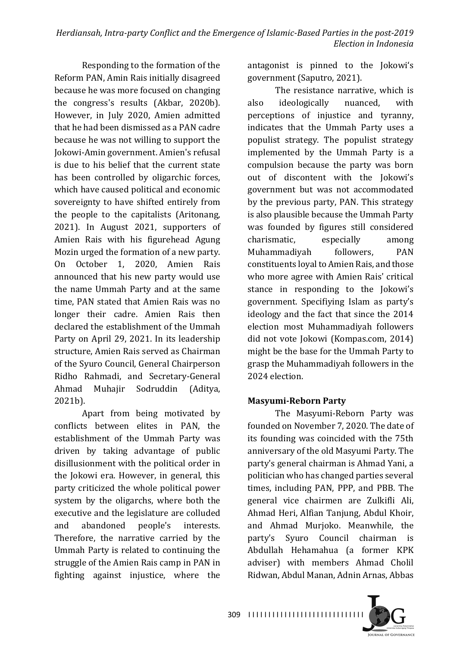Responding to the formation of the Reform PAN, Amin Rais initially disagreed because he was more focused on changing the congress's results (Akbar, 2020b). However, in July 2020, Amien admitted that he had been dismissed as a PAN cadre because he was not willing to support the Jokowi-Amin government. Amien's refusal is due to his belief that the current state has been controlled by oligarchic forces, which have caused political and economic sovereignty to have shifted entirely from the people to the capitalists (Aritonang, 2021). In August 2021, supporters of Amien Rais with his figurehead Agung Mozin urged the formation of a new party. On October 1, 2020, Amien Rais announced that his new party would use the name Ummah Party and at the same time, PAN stated that Amien Rais was no longer their cadre. Amien Rais then declared the establishment of the Ummah Party on April 29, 2021. In its leadership structure, Amien Rais served as Chairman of the Syuro Council, General Chairperson Ridho Rahmadi, and Secretary-General Ahmad Muhajir Sodruddin (Aditya, 2021b). 

Apart from being motivated by conflicts between elites in PAN, the establishment of the Ummah Party was driven by taking advantage of public disillusionment with the political order in the Jokowi era. However, in general, this party criticized the whole political power system by the oligarchs, where both the executive and the legislature are colluded and abandoned people's interests. Therefore, the narrative carried by the Ummah Party is related to continuing the struggle of the Amien Rais camp in PAN in fighting against injustice, where the 

antagonist is pinned to the Jokowi's government (Saputro, 2021).

The resistance narrative, which is also ideologically nuanced, with perceptions of injustice and tyranny, indicates that the Ummah Party uses a populist strategy. The populist strategy implemented by the Ummah Party is a compulsion because the party was born out of discontent with the Jokowi's government but was not accommodated by the previous party, PAN. This strategy is also plausible because the Ummah Party was founded by figures still considered charismatic, especially among Muhammadiyah followers, PAN constituents loyal to Amien Rais, and those who more agree with Amien Rais' critical stance in responding to the Jokowi's government. Specifiying Islam as party's ideology and the fact that since the 2014 election most Muhammadiyah followers did not vote Jokowi (Kompas.com, 2014) might be the base for the Ummah Party to grasp the Muhammadiyah followers in the 2024 election

#### **Masyumi-Reborn Party**

The Masyumi-Reborn Party was founded on November 7, 2020. The date of its founding was coincided with the 75th anniversary of the old Masyumi Party. The party's general chairman is Ahmad Yani, a politician who has changed parties several times, including PAN, PPP, and PBB. The general vice chairmen are Zulkifli Ali, Ahmad Heri, Alfian Tanjung, Abdul Khoir, and Ahmad Murjoko. Meanwhile, the party's Syuro Council chairman is Abdullah Hehamahua (a former KPK adviser) with members Ahmad Cholil Ridwan, Abdul Manan, Adnin Arnas, Abbas

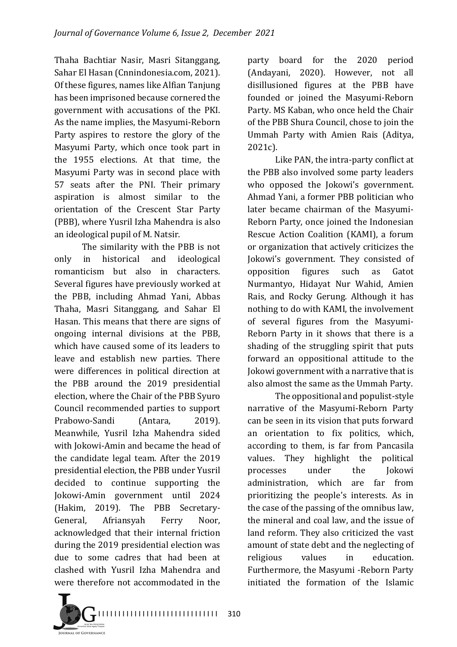Thaha Bachtiar Nasir, Masri Sitanggang, Sahar El Hasan (Cnnindonesia.com, 2021). Of these figures, names like Alfian Tanjung has been imprisoned because cornered the government with accusations of the PKI. As the name implies, the Masyumi-Reborn Party aspires to restore the glory of the Masyumi Party, which once took part in the 1955 elections. At that time, the Masyumi Party was in second place with 57 seats after the PNI. Their primary aspiration is almost similar to the orientation of the Crescent Star Party (PBB), where Yusril Izha Mahendra is also an ideological pupil of M. Natsir.

The similarity with the PBB is not only in historical and ideological romanticism but also in characters. Several figures have previously worked at the PBB, including Ahmad Yani, Abbas Thaha, Masri Sitanggang, and Sahar El Hasan. This means that there are signs of ongoing internal divisions at the PBB, which have caused some of its leaders to leave and establish new parties. There were differences in political direction at the PBB around the 2019 presidential election, where the Chair of the PBB Syuro Council recommended parties to support Prabowo-Sandi (Antara, 2019). Meanwhile, Yusril Izha Mahendra sided with Jokowi-Amin and became the head of the candidate legal team. After the 2019 presidential election, the PBB under Yusril decided to continue supporting the Jokowi-Amin government until 2024 (Hakim, 2019). The PBB Secretary-General, Afriansyah Ferry Noor, acknowledged that their internal friction during the 2019 presidential election was due to some cadres that had been at clashed with Yusril Izha Mahendra and were therefore not accommodated in the

party board for the 2020 period (Andayani, 2020). However, not all disillusioned figures at the PBB have founded or joined the Masyumi-Reborn Party. MS Kaban, who once held the Chair of the PBB Shura Council, chose to join the Ummah Party with Amien Rais (Aditya, 2021c).

Like PAN, the intra-party conflict at the PBB also involved some party leaders who opposed the Jokowi's government. Ahmad Yani, a former PBB politician who later became chairman of the Masyumi-Reborn Party, once joined the Indonesian Rescue Action Coalition (KAMI), a forum or organization that actively criticizes the Jokowi's government. They consisted of opposition figures such as Gatot Nurmantyo, Hidayat Nur Wahid, Amien Rais, and Rocky Gerung. Although it has nothing to do with KAMI, the involvement of several figures from the Masyumi-Reborn Party in it shows that there is a shading of the struggling spirit that puts forward an oppositional attitude to the Jokowi government with a narrative that is also almost the same as the Ummah Party.

The oppositional and populist-style narrative of the Masyumi-Reborn Party can be seen in its vision that puts forward an orientation to fix politics, which, according to them, is far from Pancasila values. They highlight the political processes under the Jokowi administration, which are far from prioritizing the people's interests. As in the case of the passing of the omnibus law, the mineral and coal law, and the issue of land reform. They also criticized the vast amount of state debt and the neglecting of religious values in education. Furthermore, the Masyumi -Reborn Party initiated the formation of the Islamic

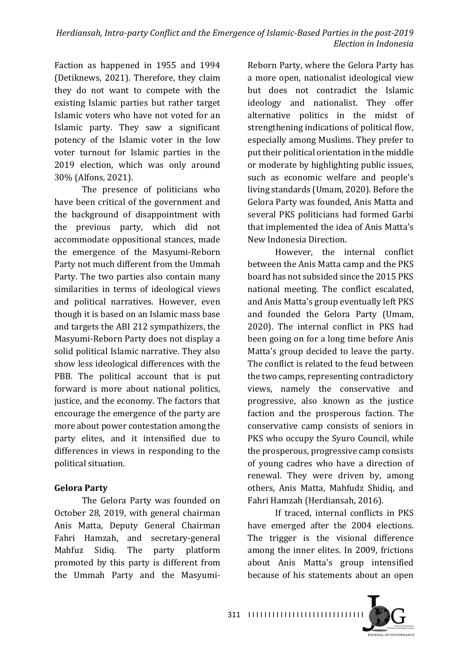Faction as happened in 1955 and 1994 (Detiknews, 2021). Therefore, they claim they do not want to compete with the existing Islamic parties but rather target Islamic voters who have not voted for an Islamic party. They saw a significant potency of the Islamic voter in the low voter turnout for Islamic parties in the 2019 election, which was only around 30% (Alfons, 2021).

The presence of politicians who have been critical of the government and the background of disappointment with the previous party, which did not accommodate oppositional stances, made the emergence of the Masyumi-Reborn Party not much different from the Ummah Party. The two parties also contain many similarities in terms of ideological views and political narratives. However, even though it is based on an Islamic mass base and targets the ABI 212 sympathizers, the Masyumi-Reborn Party does not display a solid political Islamic narrative. They also show less ideological differences with the PBB. The political account that is put forward is more about national politics, justice, and the economy. The factors that encourage the emergence of the party are more about power contestation among the party elites, and it intensified due to differences in views in responding to the political situation.

## **Gelora Party**

The Gelora Party was founded on October 28, 2019, with general chairman Anis Matta, Deputy General Chairman Fahri Hamzah, and secretary-general Mahfuz Sidiq. The party platform promoted by this party is different from the Ummah Party and the Masyumi-

Reborn Party, where the Gelora Party has a more open, nationalist ideological view but does not contradict the Islamic ideology and nationalist. They offer alternative politics in the midst of strengthening indications of political flow, especially among Muslims. They prefer to put their political orientation in the middle or moderate by highlighting public issues, such as economic welfare and people's living standards (Umam, 2020). Before the Gelora Party was founded, Anis Matta and several PKS politicians had formed Garbi that implemented the idea of Anis Matta's New Indonesia Direction.

However, the internal conflict between the Anis Matta camp and the PKS board has not subsided since the 2015 PKS national meeting. The conflict escalated, and Anis Matta's group eventually left PKS and founded the Gelora Party (Umam, 2020). The internal conflict in PKS had been going on for a long time before Anis Matta's group decided to leave the party. The conflict is related to the feud between the two camps, representing contradictory views, namely the conservative and progressive, also known as the justice faction and the prosperous faction. The conservative camp consists of seniors in PKS who occupy the Syuro Council, while the prosperous, progressive camp consists of young cadres who have a direction of renewal. They were driven by, among others, Anis Matta, Mahfudz Shidiq, and Fahri Hamzah (Herdiansah, 2016).

If traced, internal conflicts in PKS have emerged after the 2004 elections. The trigger is the visional difference among the inner elites. In 2009, frictions about Anis Matta's group intensified because of his statements about an open

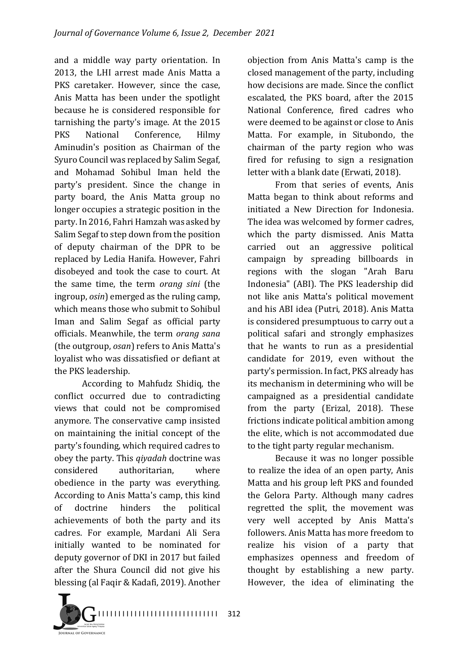and a middle way party orientation. In 2013, the LHI arrest made Anis Matta a PKS caretaker. However, since the case, Anis Matta has been under the spotlight because he is considered responsible for tarnishing the party's image. At the 2015 PKS National Conference. Hilmy Aminudin's position as Chairman of the Syuro Council was replaced by Salim Segaf, and Mohamad Sohibul Iman held the party's president. Since the change in party board, the Anis Matta group no longer occupies a strategic position in the party. In 2016, Fahri Hamzah was asked by Salim Segaf to step down from the position of deputy chairman of the DPR to be replaced by Ledia Hanifa. However, Fahri disobeyed and took the case to court. At the same time, the term *orang sini* (the ingroup, *osin*) emerged as the ruling camp, which means those who submit to Sohibul Iman and Salim Segaf as official party officials. Meanwhile, the term *orang sana* (the outgroup, *osan*) refers to Anis Matta's loyalist who was dissatisfied or defiant at the PKS leadership.

According to Mahfudz Shidiq, the conflict occurred due to contradicting views that could not be compromised anymore. The conservative camp insisted on maintaining the initial concept of the party's founding, which required cadres to obey the party. This *qiyadah* doctrine was considered authoritarian, where obedience in the party was everything. According to Anis Matta's camp, this kind of doctrine hinders the political achievements of both the party and its cadres. For example, Mardani Ali Sera initially wanted to be nominated for deputy governor of DKI in 2017 but failed after the Shura Council did not give his blessing (al Faqir & Kadafi, 2019). Another

objection from Anis Matta's camp is the closed management of the party, including how decisions are made. Since the conflict escalated, the PKS board, after the 2015 National Conference, fired cadres who were deemed to be against or close to Anis Matta. For example, in Situbondo, the chairman of the party region who was fired for refusing to sign a resignation letter with a blank date (Erwati, 2018).

From that series of events, Anis Matta began to think about reforms and initiated a New Direction for Indonesia. The idea was welcomed by former cadres, which the party dismissed. Anis Matta carried out an aggressive political campaign by spreading billboards in regions with the slogan "Arah Baru Indonesia" (ABI). The PKS leadership did not like anis Matta's political movement and his ABI idea (Putri, 2018). Anis Matta is considered presumptuous to carry out a political safari and strongly emphasizes that he wants to run as a presidential candidate for 2019, even without the party's permission. In fact, PKS already has its mechanism in determining who will be campaigned as a presidential candidate from the party (Erizal, 2018). These frictions indicate political ambition among the elite, which is not accommodated due to the tight party regular mechanism.

Because it was no longer possible to realize the idea of an open party, Anis Matta and his group left PKS and founded the Gelora Party. Although many cadres regretted the split, the movement was very well accepted by Anis Matta's followers. Anis Matta has more freedom to realize his vision of a party that emphasizes openness and freedom of thought by establishing a new party. However, the idea of eliminating the

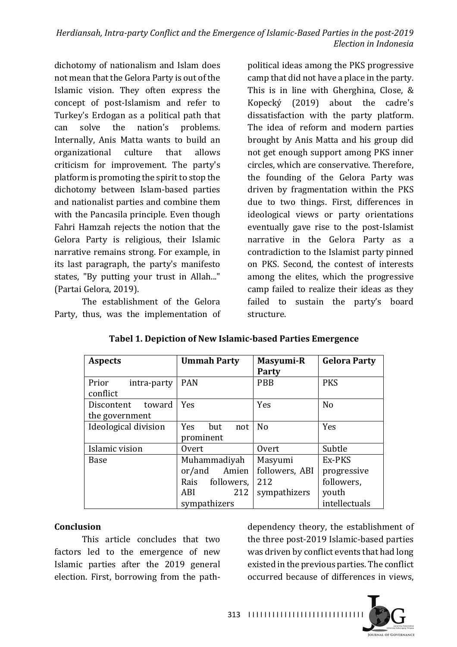dichotomy of nationalism and Islam does not mean that the Gelora Party is out of the Islamic vision. They often express the concept of post-Islamism and refer to Turkey's Erdogan as a political path that can solve the nation's problems. Internally, Anis Matta wants to build an organizational culture that allows criticism for improvement. The party's platform is promoting the spirit to stop the dichotomy between Islam-based parties and nationalist parties and combine them with the Pancasila principle. Even though Fahri Hamzah rejects the notion that the Gelora Party is religious, their Islamic narrative remains strong. For example, in its last paragraph, the party's manifesto states, "By putting your trust in Allah..." (Partai Gelora, 2019).

The establishment of the Gelora Party, thus, was the implementation of

political ideas among the PKS progressive camp that did not have a place in the party. This is in line with Gherghina, Close,  $&$ Kopecký  $(2019)$  about the cadre's dissatisfaction with the party platform. The idea of reform and modern parties brought by Anis Matta and his group did not get enough support among PKS inner circles, which are conservative. Therefore, the founding of the Gelora Party was driven by fragmentation within the PKS due to two things. First, differences in ideological views or party orientations eventually gave rise to the post-Islamist narrative in the Gelora Party as a contradiction to the Islamist party pinned on PKS. Second, the contest of interests among the elites, which the progressive camp failed to realize their ideas as they failed to sustain the party's board structure.

| <b>Aspects</b>       | <b>Ummah Party</b> | Masyumi-R      | <b>Gelora Party</b> |
|----------------------|--------------------|----------------|---------------------|
|                      |                    | <b>Party</b>   |                     |
| Prior<br>intra-party | <b>PAN</b>         | <b>PBB</b>     | <b>PKS</b>          |
| conflict             |                    |                |                     |
| Discontent<br>toward | Yes                | Yes            | N <sub>o</sub>      |
| the government       |                    |                |                     |
| Ideological division | Yes<br>but<br>not  | N <sub>o</sub> | Yes                 |
|                      | prominent          |                |                     |
| Islamic vision       | 0vert              | Overt          | Subtle              |
| Base                 | Muhammadiyah       | Masyumi        | Ex-PKS              |
|                      | or/and<br>Amien    | followers, ABI | progressive         |
|                      | followers,<br>Rais | 212            | followers,          |
|                      | 212<br>ABI         | sympathizers   | youth               |
|                      | sympathizers       |                | intellectuals       |

## **Tabel 1. Depiction of New Islamic-based Parties Emergence**

#### **Conclusion**

This article concludes that two factors led to the emergence of new Islamic parties after the 2019 general election. First, borrowing from the pathdependency theory, the establishment of the three post-2019 Islamic-based parties was driven by conflict events that had long existed in the previous parties. The conflict occurred because of differences in views.

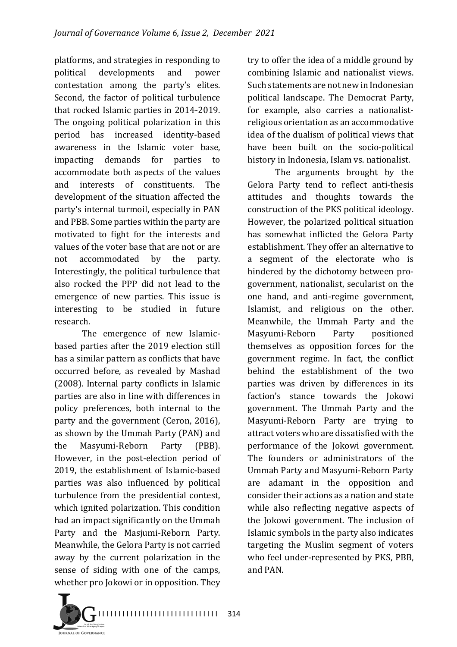platforms, and strategies in responding to political developments and power contestation among the party's elites. Second, the factor of political turbulence that rocked Islamic parties in 2014-2019. The ongoing political polarization in this period has increased identity-based awareness in the Islamic voter base, impacting demands for parties to accommodate both aspects of the values and interests of constituents. The development of the situation affected the party's internal turmoil, especially in PAN and PBB. Some parties within the party are motivated to fight for the interests and values of the voter base that are not or are not accommodated by the party. Interestingly, the political turbulence that also rocked the PPP did not lead to the emergence of new parties. This issue is interesting to be studied in future research.

The emergence of new Islamicbased parties after the 2019 election still has a similar pattern as conflicts that have occurred before, as revealed by Mashad (2008). Internal party conflicts in Islamic parties are also in line with differences in policy preferences, both internal to the party and the government (Ceron, 2016), as shown by the Ummah Party (PAN) and the Masyumi-Reborn Party (PBB). However, in the post-election period of 2019, the establishment of Islamic-based parties was also influenced by political turbulence from the presidential contest, which ignited polarization. This condition had an impact significantly on the Ummah Party and the Masjumi-Reborn Party. Meanwhile, the Gelora Party is not carried away by the current polarization in the sense of siding with one of the camps, whether pro Jokowi or in opposition. They

try to offer the idea of a middle ground by combining Islamic and nationalist views. Such statements are not new in Indonesian political landscape. The Democrat Party, for example, also carries a nationalistreligious orientation as an accommodative idea of the dualism of political views that have been built on the socio-political history in Indonesia, Islam vs. nationalist.

The arguments brought by the Gelora Party tend to reflect anti-thesis attitudes and thoughts towards the construction of the PKS political ideology. However, the polarized political situation has somewhat inflicted the Gelora Party establishment. They offer an alternative to a segment of the electorate who is hindered by the dichotomy between progovernment, nationalist, secularist on the one hand, and anti-regime government, Islamist, and religious on the other. Meanwhile, the Ummah Party and the Masyumi-Reborn Party positioned themselves as opposition forces for the government regime. In fact, the conflict behind the establishment of the two parties was driven by differences in its faction's stance towards the Jokowi government. The Ummah Party and the Masyumi-Reborn Party are trying to attract voters who are dissatisfied with the performance of the Jokowi government. The founders or administrators of the Ummah Party and Masyumi-Reborn Party are adamant in the opposition and consider their actions as a nation and state while also reflecting negative aspects of the Jokowi government. The inclusion of Islamic symbols in the party also indicates targeting the Muslim segment of voters who feel under-represented by PKS, PBB, and PAN.

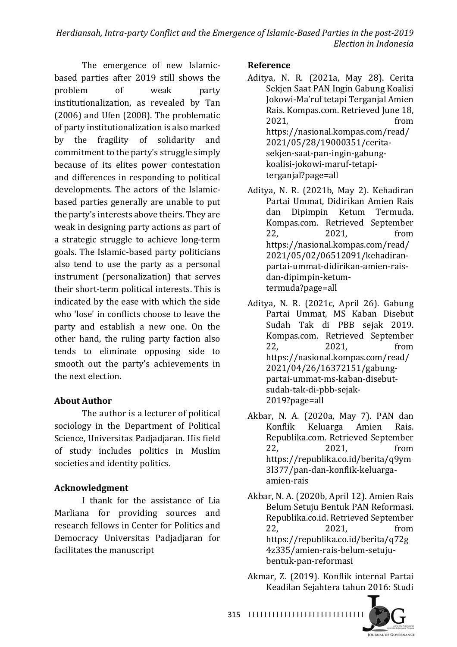The emergence of new Islamicbased parties after 2019 still shows the problem of weak party institutionalization, as revealed by Tan  $(2006)$  and Ufen  $(2008)$ . The problematic of party institutionalization is also marked by the fragility of solidarity and commitment to the party's struggle simply because of its elites power contestation and differences in responding to political developments. The actors of the Islamicbased parties generally are unable to put the party's interests above theirs. They are weak in designing party actions as part of a strategic struggle to achieve long-term goals. The Islamic-based party politicians also tend to use the party as a personal instrument (personalization) that serves their short-term political interests. This is indicated by the ease with which the side who 'lose' in conflicts choose to leave the party and establish a new one. On the other hand, the ruling party faction also tends to eliminate opposing side to smooth out the party's achievements in the next election

## **About Author**

The author is a lecturer of political sociology in the Department of Political Science, Universitas Padjadjaran. His field of study includes politics in Muslim societies and identity politics.

## **Acknowledgment**

I thank for the assistance of Lia Marliana for providing sources and research fellows in Center for Politics and Democracy Universitas Padjadjaran for facilitates the manuscript

#### **Reference**

- Aditya, N. R. (2021a, May 28). Cerita Sekjen Saat PAN Ingin Gabung Koalisi Jokowi-Ma'ruf tetapi Terganjal Amien Rais. Kompas.com. Retrieved June 18, 2021. **from** https://nasional.kompas.com/read/ 2021/05/28/19000351/ceritasekjen-saat-pan-ingin-gabungkoalisi-jokowi-maruf-tetapiterganjal?page=all
- Aditya, N. R. (2021b, May 2). Kehadiran Partai Ummat, Didirikan Amien Rais dan Dipimpin Ketum Termuda. Kompas.com. Retrieved September 22, 2021, from https://nasional.kompas.com/read/ 2021/05/02/06512091/kehadiranpartai-ummat-didirikan-amien-raisdan-dipimpin-ketumtermuda?page=all
- Aditya, N. R. (2021c, April 26). Gabung Partai Ummat, MS Kaban Disebut Sudah Tak di PBB sejak 2019. Kompas.com. Retrieved September 22, 2021, from https://nasional.kompas.com/read/ 2021/04/26/16372151/gabungpartai-ummat-ms-kaban-disebutsudah-tak-di-pbb-sejak-2019?page=all
- Akbar, N. A. (2020a, May 7). PAN dan Konflik Keluarga Amien Rais. Republika.com. Retrieved September 22, 2021, from https://republika.co.id/berita/q9ym 3l377/pan-dan-konflik-keluargaamien-rais
- Akbar, N. A. (2020b, April 12). Amien Rais Belum Setuju Bentuk PAN Reformasi. Republika.co.id. Retrieved September 22, 2021, from https://republika.co.id/berita/q72g 4z335/amien-rais-belum-setujubentuk-pan-reformasi
- Akmar, Z. (2019). Konflik internal Partai Keadilan Sejahtera tahun 2016: Studi

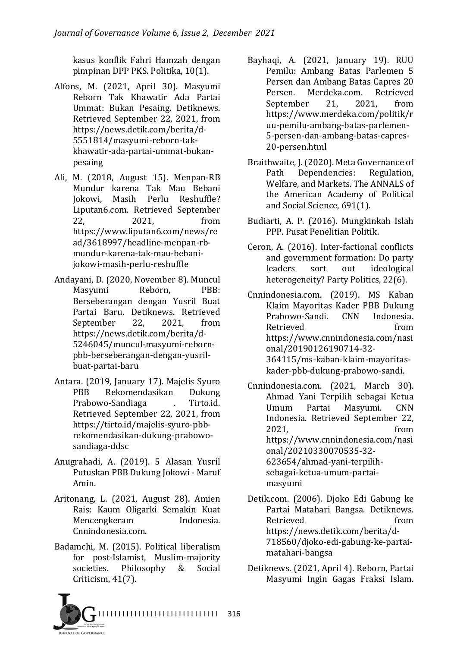kasus konflik Fahri Hamzah dengan pimpinan DPP PKS. Politika, 10(1).

- Alfons, M. (2021, April 30). Masyumi Reborn Tak Khawatir Ada Partai Ummat: Bukan Pesaing. Detiknews. Retrieved September 22, 2021, from https://news.detik.com/berita/d-5551814/masyumi-reborn-takkhawatir-ada-partai-ummat-bukanpesaing
- Ali, M. (2018, August 15). Menpan-RB Mundur karena Tak Mau Bebani Jokowi, Masih Perlu Reshuffle? Liputan6.com. Retrieved September 22, 2021, from https://www.liputan6.com/news/re ad/3618997/headline-menpan-rbmundur-karena-tak-mau-bebanijokowi-masih-perlu-reshuffle
- Andayani, D. (2020, November 8). Muncul Masyumi Reborn, PBB: Berseberangan dengan Yusril Buat Partai Baru. Detiknews. Retrieved September 22, 2021, from https://news.detik.com/berita/d-5246045/muncul-masyumi-rebornpbb-berseberangan-dengan-yusrilbuat-partai-baru
- Antara. (2019, January 17). Majelis Syuro PBB Rekomendasikan Dukung Prabowo-Sandiaga and . Tirto.id. Retrieved September 22, 2021, from https://tirto.id/majelis-syuro-pbbrekomendasikan-dukung-prabowosandiaga-ddsc
- Anugrahadi, A. (2019). 5 Alasan Yusril Putuskan PBB Dukung Jokowi - Maruf Amin.
- Aritonang, L. (2021, August 28). Amien Rais: Kaum Oligarki Semakin Kuat Mencengkeram Indonesia. Cnnindonesia.com.
- Badamchi, M. (2015). Political liberalism for post-Islamist, Muslim-majority societies. Philosophy & Social Criticism, 41(7).
- Bayhaqi, A. (2021, January 19). RUU Pemilu: Ambang Batas Parlemen 5 Persen dan Ambang Batas Capres 20 Persen. Merdeka.com. Retrieved September 21, 2021, from https://www.merdeka.com/politik/r uu-pemilu-ambang-batas-parlemen-5-persen-dan-ambang-batas-capres-20-persen.html
- Braithwaite, J. (2020). Meta Governance of Path Dependencies: Regulation, Welfare, and Markets. The ANNALS of the American Academy of Political and Social Science, 691(1).
- Budiarti, A. P. (2016). Mungkinkah Islah PPP. Pusat Penelitian Politik.
- Ceron, A. (2016). Inter-factional conflicts and government formation: Do party leaders sort out ideological heterogeneity? Party Politics, 22(6).

Cnnindonesia.com. (2019). MS Kaban Klaim Mayoritas Kader PBB Dukung Prabowo-Sandi. CNN Indonesia. Retrieved from https://www.cnnindonesia.com/nasi onal/20190126190714-32- 364115/ms-kaban-klaim-mayoritaskader-pbb-dukung-prabowo-sandi.

- Cnnindonesia.com. (2021, March 30). Ahmad Yani Terpilih sebagai Ketua Umum Partai Masyumi. CNN Indonesia. Retrieved September 22, 2021. **from** https://www.cnnindonesia.com/nasi onal/20210330070535-32- 623654/ahmad-yani-terpilihsebagai-ketua-umum-partaimasyumi
- Detik.com. (2006). Djoko Edi Gabung ke Partai Matahari Bangsa. Detiknews. Retrieved from https://news.detik.com/berita/d-718560/djoko-edi-gabung-ke-partaimatahari-bangsa
- Detiknews. (2021, April 4). Reborn, Partai Masyumi Ingin Gagas Fraksi Islam.

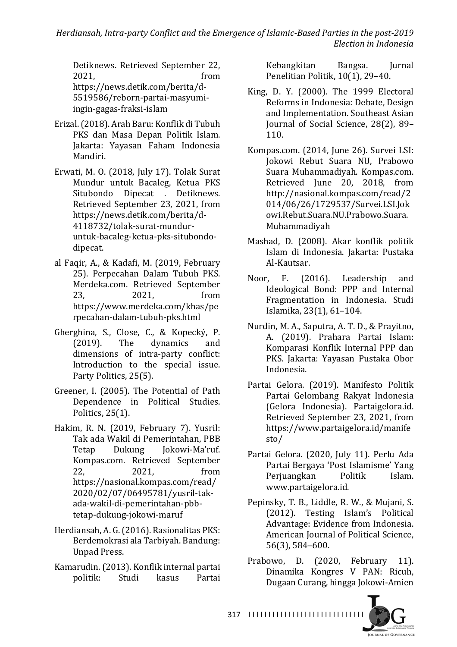Herdiansah, Intra-party Conflict and the Emergence of Islamic-Based Parties in the post-2019 *Election in Indonesia*

Detiknews. Retrieved September 22, 2021. **from** https://news.detik.com/berita/d-5519586/reborn-partai-masyumiingin-gagas-fraksi-islam

- Erizal. (2018). Arah Baru: Konflik di Tubuh PKS dan Masa Depan Politik Islam. Jakarta: Yayasan Faham Indonesia Mandiri.
- Erwati, M. O. (2018, July 17). Tolak Surat Mundur untuk Bacaleg, Ketua PKS Situbondo Dipecat . Detiknews. Retrieved September 23, 2021, from https://news.detik.com/berita/d-4118732/tolak-surat-munduruntuk-bacaleg-ketua-pks-situbondodipecat.
- al Faqir, A., & Kadafi, M. (2019, February 25). Perpecahan Dalam Tubuh PKS. Merdeka.com. Retrieved September 23, 2021, from https://www.merdeka.com/khas/pe rpecahan-dalam-tubuh-pks.html
- Gherghina, S., Close, C., & Kopecký. P. (2019). The dynamics and dimensions of intra-party conflict: Introduction to the special issue. Party Politics, 25(5).
- Greener, I. (2005). The Potential of Path Dependence in Political Studies. Politics,  $25(1)$ .
- Hakim, R. N. (2019. February 7). Yusril: Tak ada Wakil di Pemerintahan, PBB Tetap Dukung Jokowi-Ma'ruf. Kompas.com. Retrieved September 22, 2021, from https://nasional.kompas.com/read/ 2020/02/07/06495781/yusril-takada-wakil-di-pemerintahan-pbbtetap-dukung-jokowi-maruf
- Herdiansah, A. G. (2016). Rasionalitas PKS: Berdemokrasi ala Tarbiyah. Bandung: Unpad Press.
- Kamarudin. (2013). Konflik internal partai politik: Studi kasus Partai

Kebangkitan Bangsa. Jurnal Penelitian Politik, 10(1), 29-40.

- King, D. Y.  $(2000)$ . The 1999 Electoral Reforms in Indonesia: Debate, Design and Implementation. Southeast Asian Journal of Social Science, 28(2), 89-110.
- Kompas.com. (2014, June 26). Survei LSI: Jokowi Rebut Suara NU, Prabowo Suara Muhammadiyah. Kompas.com. Retrieved Iune 20, 2018, from http://nasional.kompas.com/read/2 014/06/26/1729537/Survei.LSI.Jok owi.Rebut.Suara.NU.Prabowo.Suara. Muhammadiyah
- Mashad, D. (2008). Akar konflik politik Islam di Indonesia. Jakarta: Pustaka Al-Kautsar.
- Noor, F. (2016). Leadership and Ideological Bond: PPP and Internal Fragmentation in Indonesia. Studi Islamika, 23(1), 61-104.
- Nurdin, M. A., Saputra, A. T. D., & Prayitno, A. (2019). Prahara Partai Islam: Komparasi Konflik Internal PPP dan PKS. Jakarta: Yayasan Pustaka Obor Indonesia.
- Partai Gelora. (2019). Manifesto Politik Partai Gelombang Rakyat Indonesia (Gelora Indonesia). Partaigelora.id. Retrieved September 23, 2021, from https://www.partaigelora.id/manife sto/
- Partai Gelora. (2020, July 11). Perlu Ada Partai Bergaya 'Post Islamisme' Yang Periuangkan Politik Islam. www.partaigelora.id.
- Pepinsky, T. B., Liddle, R. W., & Mujani, S. (2012). Testing Islam's Political Advantage: Evidence from Indonesia. American Iournal of Political Science, 56(3), 584-600.
- Prabowo, D. (2020, February 11). Dinamika Kongres V PAN: Ricuh, Dugaan Curang, hingga Jokowi-Amien